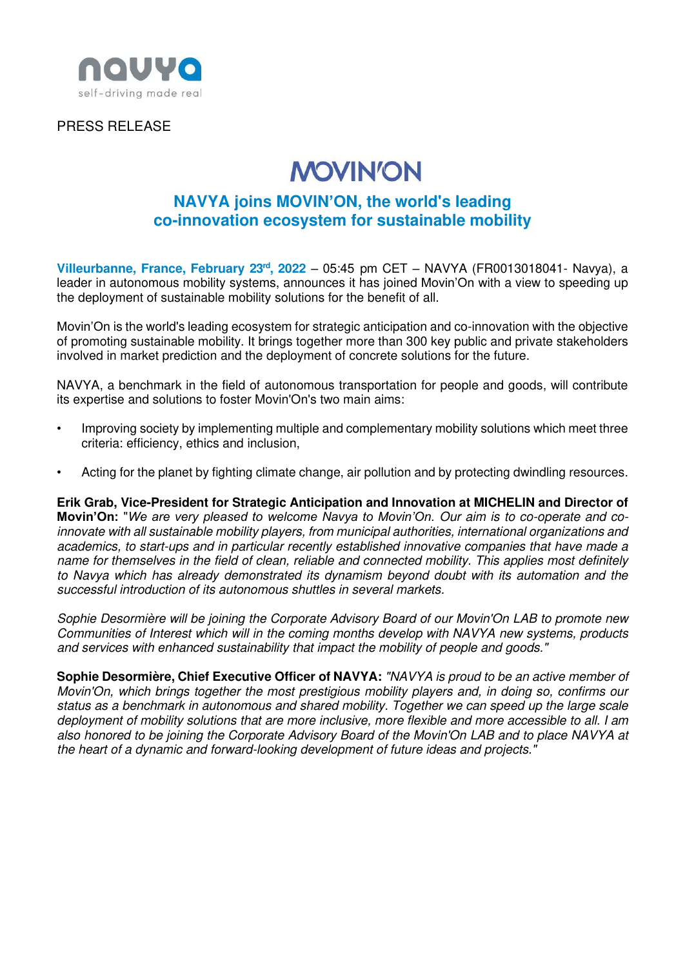

## PRESS RELEASE

# **MOVIN'ON**

# **NAVYA joins MOVIN'ON, the world's leading co-innovation ecosystem for sustainable mobility**

**Villeurbanne, France, February 23rd , 2022** – 05:45 pm CET – NAVYA (FR0013018041- Navya), a leader in autonomous mobility systems, announces it has joined Movin'On with a view to speeding up the deployment of sustainable mobility solutions for the benefit of all.

Movin'On is the world's leading ecosystem for strategic anticipation and co-innovation with the objective of promoting sustainable mobility. It brings together more than 300 key public and private stakeholders involved in market prediction and the deployment of concrete solutions for the future.

NAVYA, a benchmark in the field of autonomous transportation for people and goods, will contribute its expertise and solutions to foster Movin'On's two main aims:

- Improving society by implementing multiple and complementary mobility solutions which meet three criteria: efficiency, ethics and inclusion,
- Acting for the planet by fighting climate change, air pollution and by protecting dwindling resources.

**Erik Grab, Vice-President for Strategic Anticipation and Innovation at MICHELIN and Director of Movin'On:** "*We are very pleased to welcome Navya to Movin'On.* Our aim is to co-operate and coinnovate with all sustainable mobility players, from municipal authorities, international organizations and academics, to start-ups and in particular recently established innovative companies that have made a name for themselves in the field of clean, reliable and connected mobility. This applies most definitely to Navya which has already demonstrated its dynamism beyond doubt with its automation and the successful introduction of its autonomous shuttles in several markets.

Sophie Desormière will be joining the Corporate Advisory Board of our Movin'On LAB to promote new Communities of Interest which will in the coming months develop with NAVYA new systems, products and services with enhanced sustainability that impact the mobility of people and goods."

**Sophie Desormière, Chief Executive Officer of NAVYA:** "NAVYA is proud to be an active member of Movin'On, which brings together the most prestigious mobility players and, in doing so, confirms our status as a benchmark in autonomous and shared mobility. Together we can speed up the large scale deployment of mobility solutions that are more inclusive, more flexible and more accessible to all. I am also honored to be joining the Corporate Advisory Board of the Movin'On LAB and to place NAVYA at the heart of a dynamic and forward-looking development of future ideas and projects."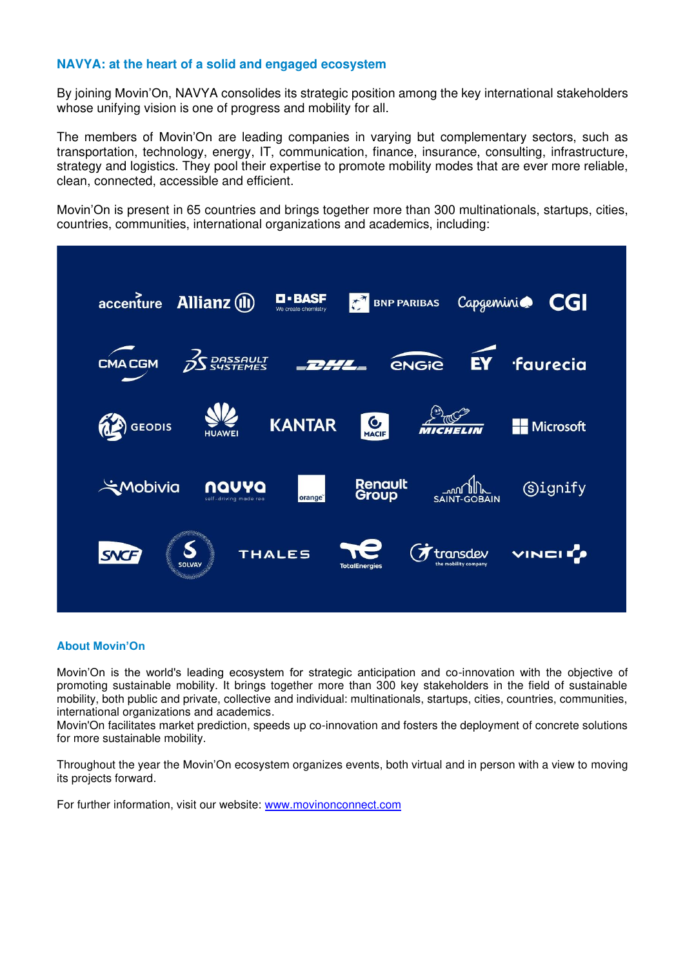## **NAVYA: at the heart of a solid and engaged ecosystem**

By joining Movin'On, NAVYA consolides its strategic position among the key international stakeholders whose unifying vision is one of progress and mobility for all.

The members of Movin'On are leading companies in varying but complementary sectors, such as transportation, technology, energy, IT, communication, finance, insurance, consulting, infrastructure, strategy and logistics. They pool their expertise to promote mobility modes that are ever more reliable, clean, connected, accessible and efficient.

Movin'On is present in 65 countries and brings together more than 300 multinationals, startups, cities, countries, communities, international organizations and academics, including:



### **About Movin'On**

Movin'On is the world's leading ecosystem for strategic anticipation and co-innovation with the objective of promoting sustainable mobility. It brings together more than 300 key stakeholders in the field of sustainable mobility, both public and private, collective and individual: multinationals, startups, cities, countries, communities, international organizations and academics.

Movin'On facilitates market prediction, speeds up co-innovation and fosters the deployment of concrete solutions for more sustainable mobility.

Throughout the year the Movin'On ecosystem organizes events, both virtual and in person with a view to moving its projects forward.

For further information, visit our website: [www.movinonconnect.com](http://www.movinonconnect.com/)